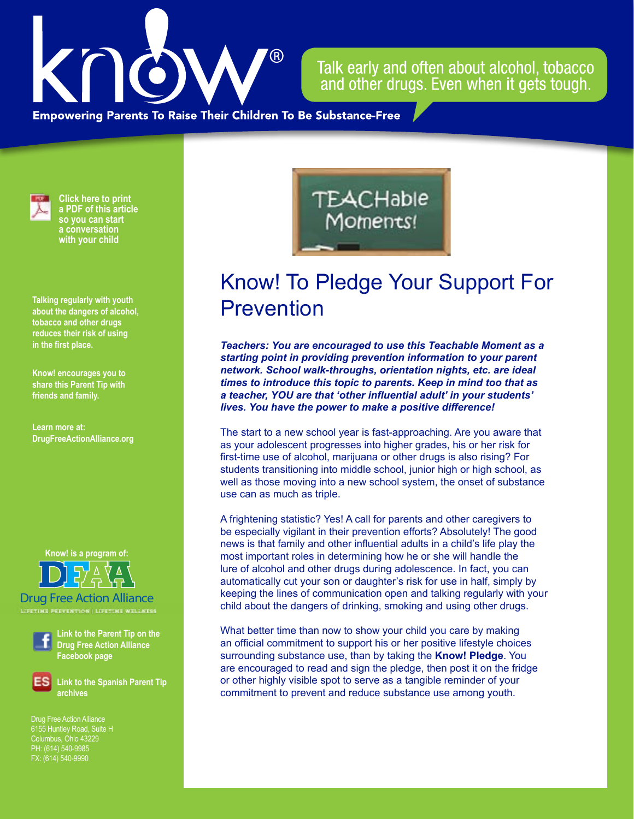

Talk early and often about alcohol, tobacco and other drugs. Even when it gets tough.

**Empowering Parents To Raise Their Children To Be Substance-Free** 



**Click here to print a PDF of this article so you can start a conversation with your child**

**Talking regularly with youth about the dangers of alcohol, tobacco and other drugs reduces their risk of using in the first place.**

**Know! encourages you to share this Parent Tip with friends and family.**

**Learn more at: DrugFreeActionAlliance.org**

**Know! is a program of:**

Drug Free Action Alliance

**LIFETIME PREVENTION | LIFETIME WELLNESS**



**Link to the Parent Tip on the Drug Free Action Alliance Facebook page**

**Link to the Spanish Parent Tip archives**

Drug Free Action Alliance 6155 Huntley Road, Suite H PH: (614) 540-9985 FX: (614) 540-9990

## **TEACHable** Moments!

## Know! To Pledge Your Support For **Prevention**

*Teachers: You are encouraged to use this Teachable Moment as a starting point in providing prevention information to your parent network. School walk-throughs, orientation nights, etc. are ideal times to introduce this topic to parents. Keep in mind too that as a teacher, YOU are that 'other influential adult' in your students' lives. You have the power to make a positive difference!*

The start to a new school year is fast-approaching. Are you aware that as your adolescent progresses into higher grades, his or her risk for first-time use of alcohol, marijuana or other drugs is also rising? For students transitioning into middle school, junior high or high school, as well as those moving into a new school system, the onset of substance use can as much as triple.

A frightening statistic? Yes! A call for parents and other caregivers to be especially vigilant in their prevention efforts? Absolutely! The good news is that family and other influential adults in a child's life play the most important roles in determining how he or she will handle the lure of alcohol and other drugs during adolescence. In fact, you can automatically cut your son or daughter's risk for use in half, simply by keeping the lines of communication open and talking regularly with your child about the dangers of drinking, smoking and using other drugs.

What better time than now to show your child you care by making an official commitment to support his or her positive lifestyle choices surrounding substance use, than by taking the **Know! Pledge**. You are encouraged to read and sign the pledge, then post it on the fridge or other highly visible spot to serve as a tangible reminder of your commitment to prevent and reduce substance use among youth.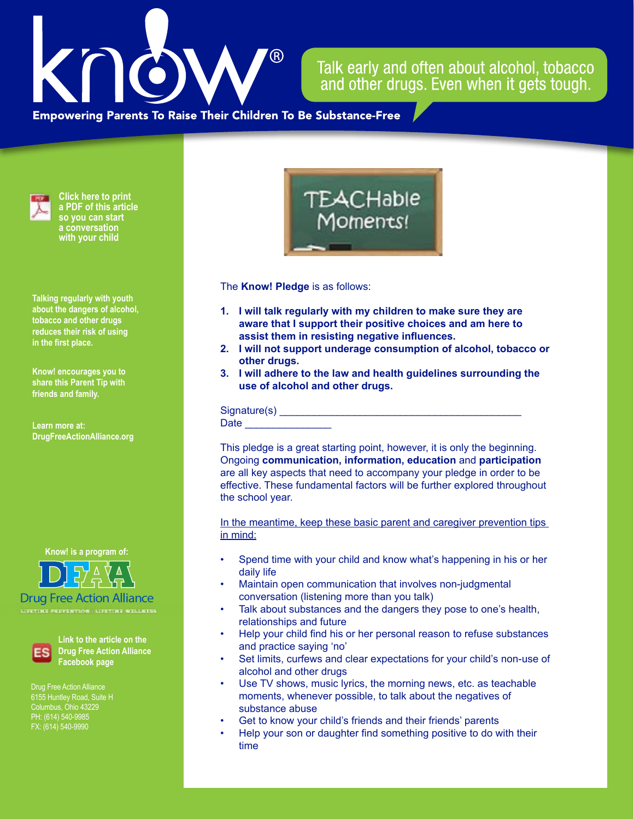## $\mathcal{P}(\mathsf{R})$

## Talk early and often about alcohol, tobacco and other drugs. Even when it gets tough.

**Empowering Parents To Raise Their Children To Be Substance-Free** 



**Click here to print a PDF of this article so you can start a conversation with your child**

**Talking regularly with youth about the dangers of alcohol, tobacco and other drugs reduces their risk of using in the first place.**

**Know! encourages you to share this Parent Tip with friends and family.**

**Learn more at: DrugFreeActionAlliance.org**

**Know! is a program of:**



Drug Free Action Alliance



**Link to the article on the Drug Free Action Alliance Facebook page**

Drug Free Action Alliance 6155 Huntley Road, Suite H Columbus, Ohio 43229 FX: (614) 540-9990



The **Know! Pledge** is as follows:

- **1. I will talk regularly with my children to make sure they are aware that I support their positive choices and am here to assist them in resisting negative influences.**
- **2. I will not support underage consumption of alcohol, tobacco or other drugs.**
- **3. I will adhere to the law and health guidelines surrounding the use of alcohol and other drugs.**

Signature(s) \_\_\_\_\_\_\_\_\_\_\_\_\_\_\_\_\_\_\_\_\_\_\_\_\_\_\_\_\_\_\_\_\_\_\_\_\_\_\_\_\_\_ Date  $\qquad \qquad$ 

This pledge is a great starting point, however, it is only the beginning. Ongoing **communication, information, education** and **participation** are all key aspects that need to accompany your pledge in order to be effective. These fundamental factors will be further explored throughout the school year.

In the meantime, keep these basic parent and caregiver prevention tips in mind:

- Spend time with your child and know what's happening in his or her daily life
- Maintain open communication that involves non-judgmental conversation (listening more than you talk)
- Talk about substances and the dangers they pose to one's health, relationships and future
- Help your child find his or her personal reason to refuse substances and practice saying 'no'
- Set limits, curfews and clear expectations for your child's non-use of alcohol and other drugs
- Use TV shows, music lyrics, the morning news, etc. as teachable moments, whenever possible, to talk about the negatives of substance abuse
- Get to know your child's friends and their friends' parents
- Help your son or daughter find something positive to do with their time